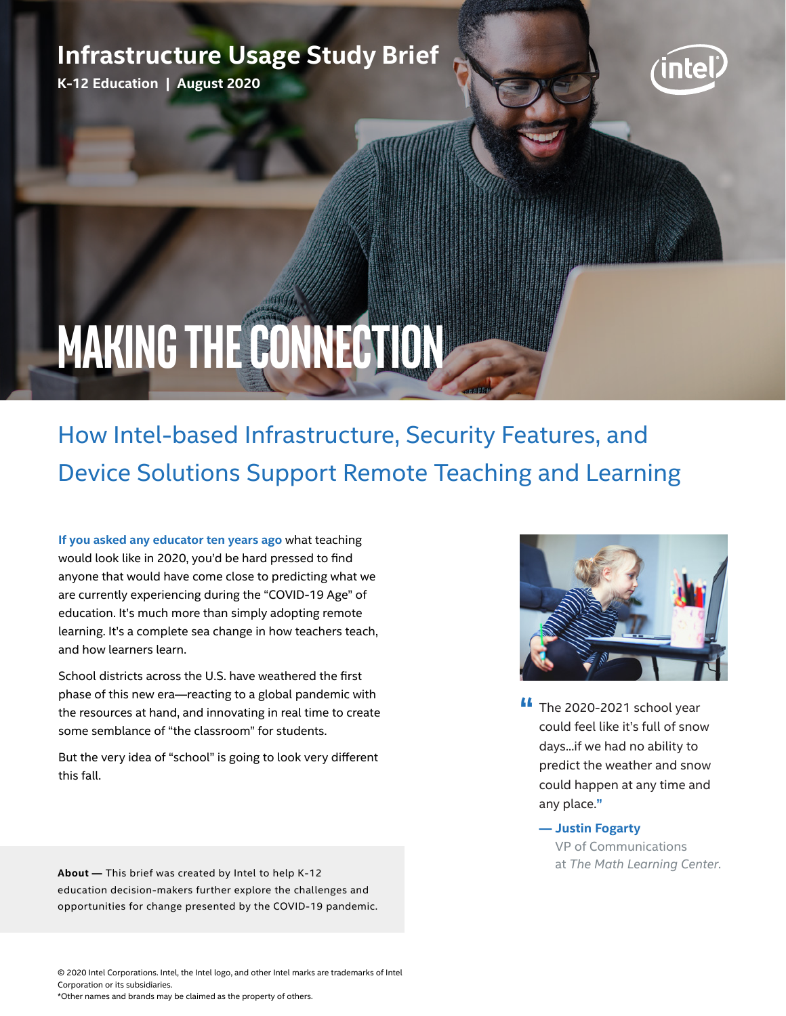# **Infrastructure Usage Study Brief**

**K-12 Education | August 2020**



# **Making the Connection**

# How Intel-based Infrastructure, Security Features, and Device Solutions Support Remote Teaching and Learning

**If you asked any educator ten years ago** what teaching would look like in 2020, you'd be hard pressed to find anyone that would have come close to predicting what we are currently experiencing during the "COVID-19 Age" of education. It's much more than simply adopting remote learning. It's a complete sea change in how teachers teach, and how learners learn.

School districts across the U.S. have weathered the first phase of this new era—reacting to a global pandemic with the resources at hand, and innovating in real time to create some semblance of "the classroom" for students.

But the very idea of "school" is going to look very different this fall.

**About —** This brief was created by Intel to help K-12 education decision-makers further explore the challenges and opportunities for change presented by the COVID-19 pandemic.



- **If** The 2020-2021 school year could feel like it's full of snow days...if we had no ability to predict the weather and snow could happen at any time and any place.**"** 
	- **Justin Fogarty** VP of Communications at *The Math Learning Center*.

© 2020 Intel Corporations. Intel, the Intel logo, and other Intel marks are trademarks of Intel Corporation or its subsidiaries. \*Other names and brands may be claimed as the property of others.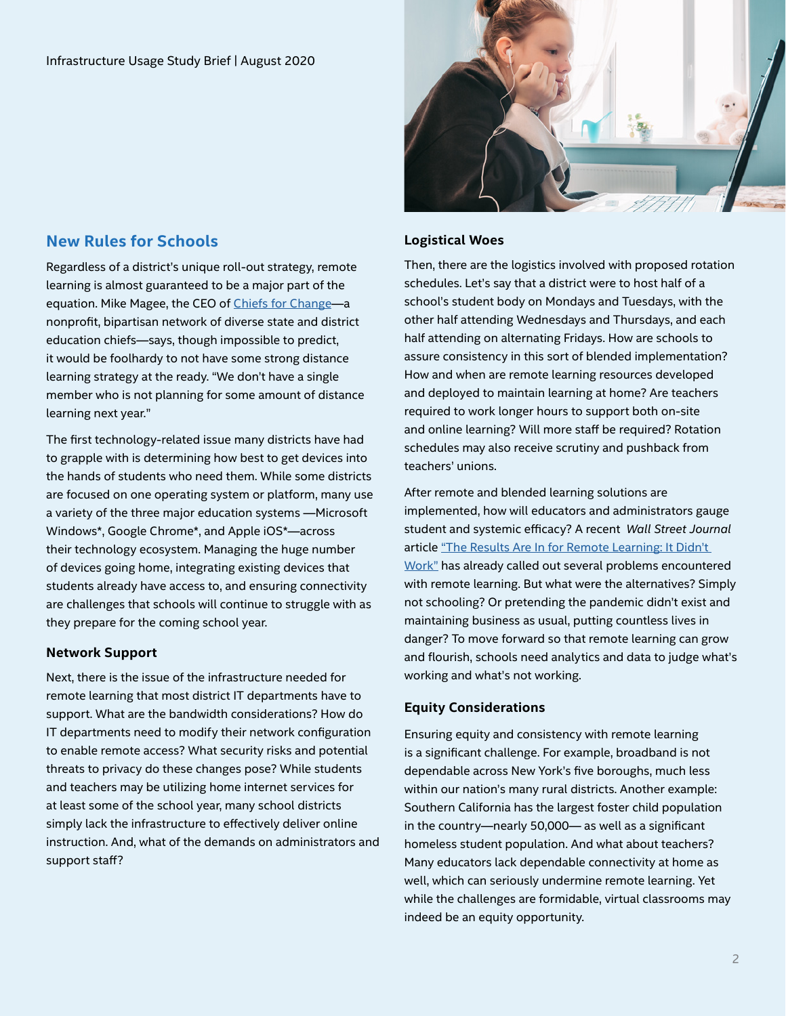# **New Rules for Schools**

Regardless of a district's unique roll-out strategy, remote learning is almost guaranteed to be a major part of the equation. Mike Magee, the CEO of [Chiefs for Change](https://chiefsforchange.org/)-a nonprofit, bipartisan network of diverse state and district education chiefs—says, though impossible to predict, it would be foolhardy to not have some strong distance learning strategy at the ready. "We don't have a single member who is not planning for some amount of distance learning next year."

The first technology-related issue many districts have had to grapple with is determining how best to get devices into the hands of students who need them. While some districts are focused on one operating system or platform, many use a variety of the three major education systems —Microsoft Windows\*, Google Chrome\*, and Apple iOS\*—across their technology ecosystem. Managing the huge number of devices going home, integrating existing devices that students already have access to, and ensuring connectivity are challenges that schools will continue to struggle with as they prepare for the coming school year.

### **Network Support**

Next, there is the issue of the infrastructure needed for remote learning that most district IT departments have to support. What are the bandwidth considerations? How do IT departments need to modify their network configuration to enable remote access? What security risks and potential threats to privacy do these changes pose? While students and teachers may be utilizing home internet services for at least some of the school year, many school districts simply lack the infrastructure to effectively deliver online instruction. And, what of the demands on administrators and support staff?



#### **Logistical Woes**

Then, there are the logistics involved with proposed rotation schedules. Let's say that a district were to host half of a school's student body on Mondays and Tuesdays, with the other half attending Wednesdays and Thursdays, and each half attending on alternating Fridays. How are schools to assure consistency in this sort of blended implementation? How and when are remote learning resources developed and deployed to maintain learning at home? Are teachers required to work longer hours to support both on-site and online learning? Will more staff be required? Rotation schedules may also receive scrutiny and pushback from teachers' unions.

After remote and blended learning solutions are implemented, how will educators and administrators gauge student and systemic efficacy? A recent *Wall Street Journal* article ["The Results Are In for Remote Learning: It Didn't](https://www.wsj.com/articles/schools-coronavirus-remote-learning-lockdown-tech-11591375078)  [Work"](https://www.wsj.com/articles/schools-coronavirus-remote-learning-lockdown-tech-11591375078) has already called out several problems encountered with remote learning. But what were the alternatives? Simply not schooling? Or pretending the pandemic didn't exist and maintaining business as usual, putting countless lives in danger? To move forward so that remote learning can grow and flourish, schools need analytics and data to judge what's working and what's not working.

### **Equity Considerations**

Ensuring equity and consistency with remote learning is a significant challenge. For example, broadband is not dependable across New York's five boroughs, much less within our nation's many rural districts. Another example: Southern California has the largest foster child population in the country—nearly 50,000— as well as a significant homeless student population. And what about teachers? Many educators lack dependable connectivity at home as well, which can seriously undermine remote learning. Yet while the challenges are formidable, virtual classrooms may indeed be an equity opportunity.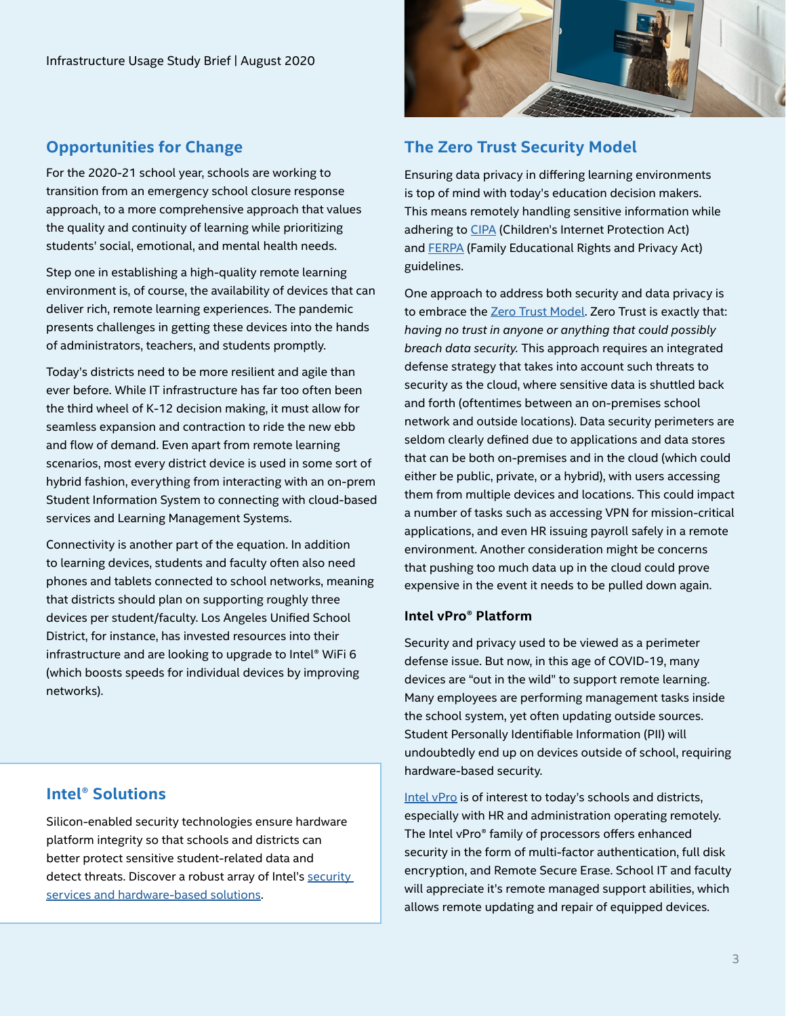# **Opportunities for Change**

For the 2020-21 school year, schools are working to transition from an emergency school closure response approach, to a more comprehensive approach that values the quality and continuity of learning while prioritizing students' social, emotional, and mental health needs.

Step one in establishing a high-quality remote learning environment is, of course, the availability of devices that can deliver rich, remote learning experiences. The pandemic presents challenges in getting these devices into the hands of administrators, teachers, and students promptly.

Today's districts need to be more resilient and agile than ever before. While IT infrastructure has far too often been the third wheel of K-12 decision making, it must allow for seamless expansion and contraction to ride the new ebb and flow of demand. Even apart from remote learning scenarios, most every district device is used in some sort of hybrid fashion, everything from interacting with an on-prem Student Information System to connecting with cloud-based services and Learning Management Systems.

Connectivity is another part of the equation. In addition to learning devices, students and faculty often also need phones and tablets connected to school networks, meaning that districts should plan on supporting roughly three devices per student/faculty. Los Angeles Unified School District, for instance, has invested resources into their infrastructure and are looking to upgrade to Intel® WiFi 6 (which boosts speeds for individual devices by improving networks).

# **Intel® Solutions**

Silicon-enabled security technologies ensure hardware platform integrity so that schools and districts can better protect sensitive student-related data and detect threats. Discover a robust array of Intel's [security](https://www.intel.com/content/www/us/en/security/overview.html)  [services and hardware-based solutions](https://www.intel.com/content/www/us/en/security/overview.html).



# **The Zero Trust Security Model**

Ensuring data privacy in differing learning environments is top of mind with today's education decision makers. This means remotely handling sensitive information while adhering to **CIPA** (Children's Internet Protection Act) and [FERPA](https://www2.ed.gov/policy/gen/guid/fpco/ferpa/index.html) (Family Educational Rights and Privacy Act) guidelines.

One approach to address both security and data privacy is to embrace the [Zero Trust Model.](https://www.k12blueprint.com/sites/default/files/K12-Building_Zero_Trust_Ecosystem.pdf) Zero Trust is exactly that: *having no trust in anyone or anything that could possibly breach data security.* This approach requires an integrated defense strategy that takes into account such threats to security as the cloud, where sensitive data is shuttled back and forth (oftentimes between an on-premises school network and outside locations). Data security perimeters are seldom clearly defined due to applications and data stores that can be both on-premises and in the cloud (which could either be public, private, or a hybrid), with users accessing them from multiple devices and locations. This could impact a number of tasks such as accessing VPN for mission-critical applications, and even HR issuing payroll safely in a remote environment. Another consideration might be concerns that pushing too much data up in the cloud could prove expensive in the event it needs to be pulled down again.

### **Intel vPro® Platform**

Security and privacy used to be viewed as a perimeter defense issue. But now, in this age of COVID-19, many devices are "out in the wild" to support remote learning. Many employees are performing management tasks inside the school system, yet often updating outside sources. Student Personally Identifiable Information (PII) will undoubtedly end up on devices outside of school, requiring hardware-based security.

[Intel vPro](https://www.intel.com/content/www/us/en/architecture-and-technology/vpro/vpro-platform-general.html) is of interest to today's schools and districts, especially with HR and administration operating remotely. The Intel vPro® family of processors offers enhanced security in the form of multi-factor authentication, full disk encryption, and Remote Secure Erase. School IT and faculty will appreciate it's remote managed support abilities, which allows remote updating and repair of equipped devices.